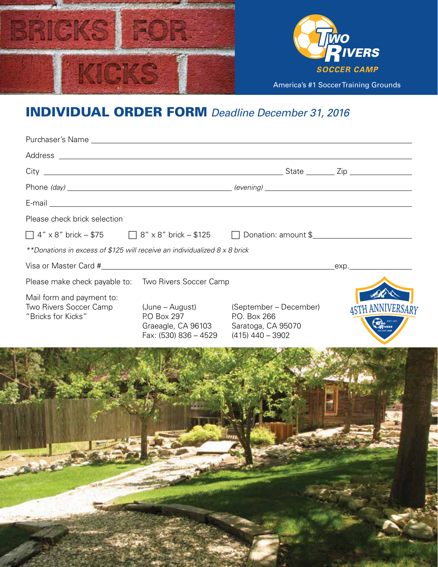

## INDIVIDUAL ORDER FORM *Deadline December 31, 2016*

| Please check brick selection                                                          |                                                                               |                                                                                    |                         |
|---------------------------------------------------------------------------------------|-------------------------------------------------------------------------------|------------------------------------------------------------------------------------|-------------------------|
| $\Box$ 4" x 8" brick -- \$75 $\Box$ 8" x 8" brick -- \$125 $\Box$ Donation: amount \$ |                                                                               |                                                                                    |                         |
| **Donations in excess of \$125 will receive an individualized 8 x 8 brick             |                                                                               |                                                                                    |                         |
|                                                                                       |                                                                               |                                                                                    | _exp._______________    |
| Please make check payable to: Two Rivers Soccer Camp                                  |                                                                               |                                                                                    |                         |
| Mail form and payment to:<br>Two Rivers Soccer Camp<br>"Bricks for Kicks"             | (June – August)<br>P.O Box 297<br>Graeagle, CA 96103<br>Fax: (530) 836 - 4529 | (September – December)<br>P.O. Box 266<br>Saratoga, CA 95070<br>$(415)$ 440 - 3902 | <b>45TH ANNIVERSARY</b> |
|                                                                                       |                                                                               |                                                                                    |                         |
|                                                                                       |                                                                               |                                                                                    |                         |
|                                                                                       |                                                                               |                                                                                    |                         |
|                                                                                       |                                                                               |                                                                                    |                         |
|                                                                                       |                                                                               |                                                                                    |                         |
|                                                                                       |                                                                               |                                                                                    |                         |
|                                                                                       |                                                                               |                                                                                    |                         |
|                                                                                       |                                                                               |                                                                                    |                         |
|                                                                                       |                                                                               |                                                                                    |                         |
|                                                                                       |                                                                               |                                                                                    |                         |